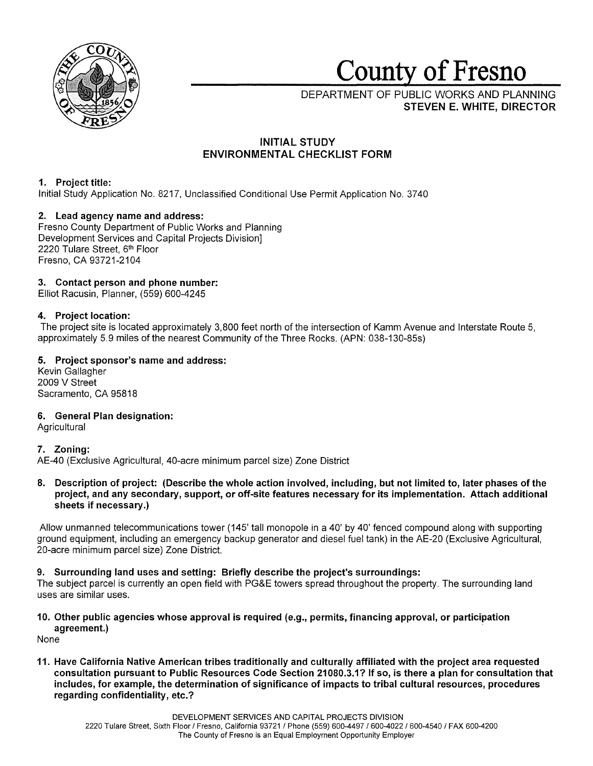

# **County of Fresno**

DEPARTMENT OF PUBLIC WORKS AND PLANNING **STEVEN E. WHITE, DIRECTOR** 

# **INITIAL STUDY ENVIRONMENTAL CHECKLIST FORM**

# **1. Project title:**

Initial Study Application No. 8217, Unclassified Conditional Use Permit Application No. 3740

# **2. Lead agency name and address:**

Fresno County Department of Public Works and Planning Development Services and Capital Projects Division] 2220 Tulare Street, 6th Floor Fresno, CA 93721-2104

# **3. Contact person and phone number:**

Elliot Racusin, Planner, (559) 600-4245

# **4. Project location:**

The project site is located approximately 3,800 feet north of the intersection of Kamm Avenue and Interstate Route 5, approximately 5.9 miles of the nearest Community of the Three Rocks. (APN: 038-130-85s)

# **5. Project sponsor's name and address:**

Kevin Gallagher 2009 V Street Sacramento, CA 95818

# **6. General Plan designation:**

**Agricultural** 

# **7. Zoning:**

AE-40 (Exclusive Agricultural, 40-acre minimum parcel size) Zone District

**8. Description of project: (Describe the whole action involved, including, but not limited to, later phases of the project, and any secondary, support, or off-site features necessary for its implementation. Attach additional sheets if necessary.)** 

Allow unmanned telecommunications tower (145' tall monopole in a 40' by 40' fenced compound along with supporting ground equipment, including an emergency backup generator and diesel fuel tank) in the AE-20 (Exclusive Agricultural, 20-acre minimum parcel size) Zone District.

# **9. Surrounding land uses and setting: Briefly describe the project's surroundings:**

The subject parcel is currently an open field with PG&E towers spread throughout the property. The surrounding land uses are similar uses.

# **10. Other public agencies whose approval is required (e.g., permits, financing approval, or participation agreement.)**

None

**11. Have California Native American tribes traditionally and culturally affiliated with the project area requested consultation pursuant to Public Resources Code Section 21080.3.1? If so, is there a plan for consultation that includes, for example, the determination of significance of impacts to tribal cultural resources, procedures regarding confidentiality, etc.?**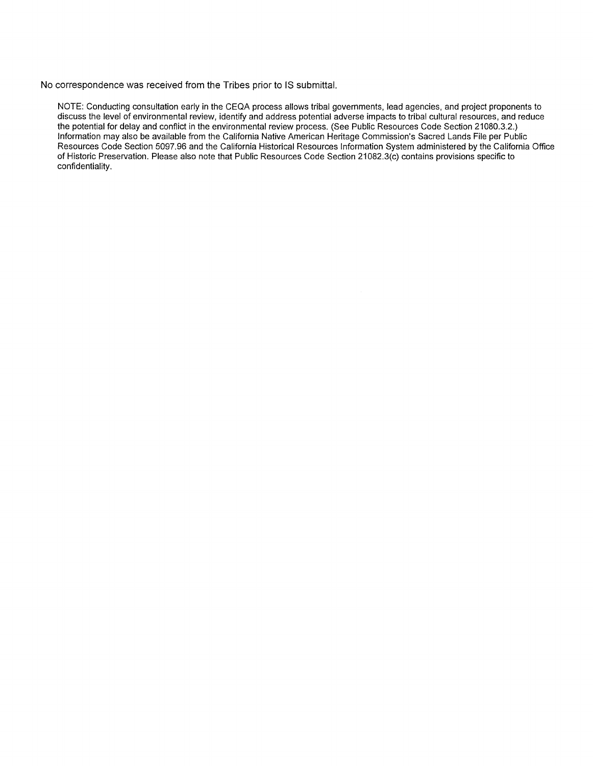No correspondence was received from the Tribes prior to IS submittal.

NOTE: Conducting consultation early in the CEQA process allows tribal governments, lead agencies, and project proponents to discuss the level of environmental review, identify and address potential adverse impacts to tribal cultural resources, and reduce the potential for delay and conflict in the environmental review process. (See Public Resources Code Section 21080.3.2.) Information may also be available from the California Native American Heritage Commission's Sacred Lands File per Public Resources Code Section 5097.96 and the California Historical Resources Information System administered by the California Office of Historic Preservation. Please also note that Public Resources Code Section 21082.3(c) contains provisions specific to confidentiality.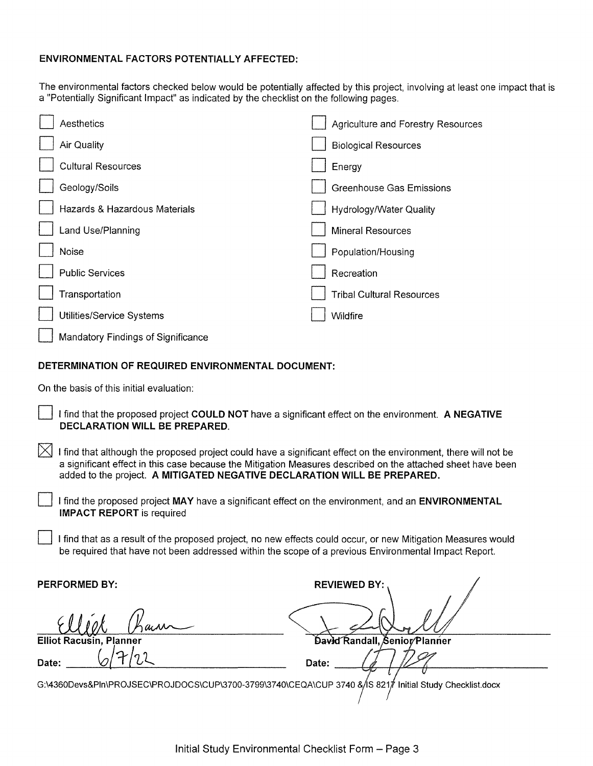# **ENVIRONMENTAL FACTORS POTENTIALLY AFFECTED:**

The environmental factors checked below would be potentially affected by this project, involving at least one impact that is a "Potentially Significant Impact" as indicated by the checklist on the following pages.

| Aesthetics                         | <b>Agriculture and Forestry Resources</b> |
|------------------------------------|-------------------------------------------|
| Air Quality                        | <b>Biological Resources</b>               |
| <b>Cultural Resources</b>          | Energy                                    |
| Geology/Soils                      | <b>Greenhouse Gas Emissions</b>           |
| Hazards & Hazardous Materials      | Hydrology/Water Quality                   |
| Land Use/Planning                  | <b>Mineral Resources</b>                  |
| Noise                              | Population/Housing                        |
| <b>Public Services</b>             | Recreation                                |
| Transportation                     | <b>Tribal Cultural Resources</b>          |
| Utilities/Service Systems          | Wildfire                                  |
| Mandatory Findings of Significance |                                           |

# **DETERMINATION OF REQUIRED ENVIRONMENTAL DOCUMENT:**

On the basis of this initial evaluation:

- D I find that the proposed project **COULD NOT** have a significant effect on the environment. **A NEGATIVE DECLARATION WILL BE PREPARED.**
- $[\times]$  I find that although the proposed project could have a significant effect on the environment, there will not be a significant effect in this case because the Mitigation Measures described on the attached sheet have been added to the project. **A MITIGATED NEGATIVE DECLARATION WILL BE PREPARED.** 
	- D I find the proposed project **MAY** have a significant effect on the environment, and an **ENVIRONMENTAL IMPACT REPORT** is required
		- I find that as a result of the proposed project, no new effects could occur, or new Mitigation Measures would be required that have not been addressed within the scope of a previous Environmental Impact Report.

**PERFORMED BY: REVIEWED BY: REVIEWED BY** 

**Elliot F** 

**Date:** *(o/~* /?./'l

David Randall, Senior/Planner Date:

G:\4360Devs&PIn\PROJSEC\PROJDOCS\CUP\3700-3799\3740\CEQA\CUP 3740 & 5821 Initial Study Checklist.docx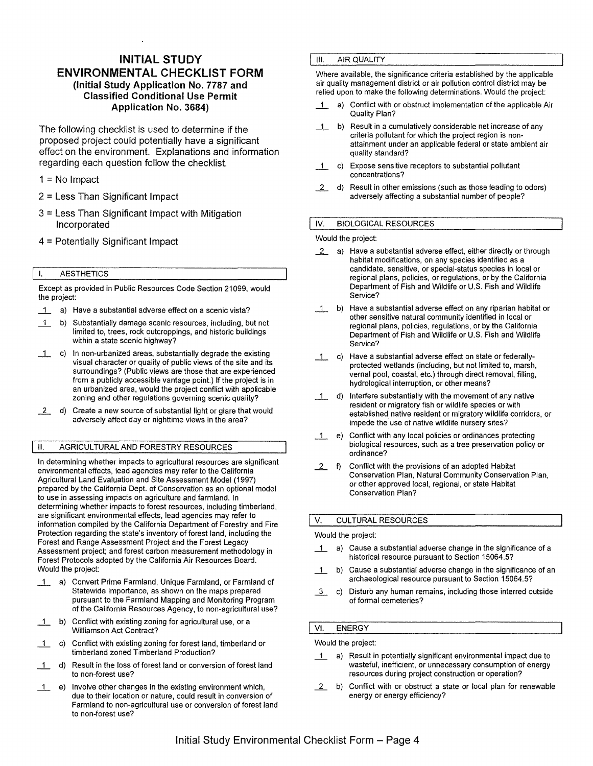# **INITIAL STUDY ENVIRONMENTAL CHECKLIST FORM (Initial Study Application No. 7787 and Classified Conditional Use Permit Application No. 3684)**

The following checklist is used to determine if the proposed project could potentially have a significant effect on the environment. Explanations and information regarding each question follow the checklist.

## $1 = No$  Impact

- 2 = Less Than Significant Impact
- 3 = Less Than Significant Impact with Mitigation Incorporated
- 4 = Potentially Significant Impact

#### I. AESTHETICS

Except as provided in Public Resources Code Section 21099, would the project:

- 1 a) Have a substantial adverse effect on a scenic vista?
- \_1\_ b) Substantially damage scenic resources, including, but not limited to, trees, rock outcroppings, and historic buildings within a state scenic highway?
- \_1\_ c) In non-urbanized areas, substantially degrade the existing visual character or quality of public views of the site and its surroundings? (Public views are those that are experienced from a publicly accessible vantage point.) If the project is in an urbanized area, would the project conflict with applicable zoning and other regulations governing scenic quality?
- *i* d) Create a new source of substantial light or glare that would adversely affect day or nighttime views in the area?

#### II. AGRICULTURAL **AND** FORESTRY RESOURCES

In determining whether impacts to agricultural resources are significant environmental effects, lead agencies may refer to the California Agricultural Land Evaluation and Site Assessment Model (1997) prepared by the California Dept. of Conservation as an optional model to use in assessing impacts on agriculture and farmland. In determining whether impacts to forest resources, including timberland, are significant environmental effects, lead agencies may refer to information compiled by the California Department of Forestry and Fire Protection regarding the state's inventory of forest land, including the Forest and Range Assessment Project and the Forest Legacy Assessment project; and forest carbon measurement methodology in Forest Protocols adopted by the California Air Resources Board. Would the project:

- \_1\_ a) Convert Prime Farmland, Unique Farmland, or Farmland of Statewide Importance, as shown on the maps prepared pursuant to the Farmland Mapping and Monitoring Program of the California Resources Agency, to non-agricultural use?
- \_1\_ b) Conflict with existing zoning for agricultural use, or a Williamson Act Contract?
- \_1\_ c) Conflict with existing zoning for forest land, timberland or timberland zoned Timberland Production?
- 1 d) Result in the loss of forest land or conversion of forest land to non-forest use?
- \_1\_ e) Involve other changes in the existing environment which, due to their location or nature, could result in conversion of Farmland to non-agricultural use or conversion of forest land to non-forest use?

## **III. AIR QUALITY**

Where available, the significance criteria established by the applicable air quality management district or air pollution control district may be relied upon to make the following determinations. Would the project:

- \_1\_ a) Conflict with or obstruct implementation of the applicable Air Quality Plan?
- \_1\_ b) Result in a cumulatively considerable net increase of any criteria pollutant for which the project region is nonattainment under an applicable federal or state ambient air quality standard?
- \_1\_ c) Expose sensitive receptors to substantial pollutant concentrations?
- *i* d) Result in other emissions (such as those leading to odors) adversely affecting a substantial number of people?

## IV. BIOLOGICAL RESOURCES

Would the project:

- 2 a) Have a substantial adverse effect, either directly or through habitat modifications, on any species identified as a candidate, sensitive, or special-status species in local or regional plans, policies, or regulations, or by the California Department of Fish and Wildlife or U.S. Fish and Wildlife Service?
- \_1\_ b) Have a substantial adverse effect on any riparian habitat or other sensitive natural community identified in local or regional plans, policies, regulations, or by the California Department of Fish and Wildlife or U.S. Fish and Wildlife Service?
- \_1\_ c) Have a substantial adverse effect on state or federallyprotected wetlands (including, but not limited to, marsh, vernal pool, coastal, etc.) through direct removal, filling, hydrological interruption, or other means?
- \_1\_ d) Interfere substantially with the movement of any native resident or migratory fish or wildlife species or with established native resident or migratory wildlife corridors, or impede the use of native wildlife nursery sites?
- \_1\_ e) Conflict with any local policies or ordinances protecting biological resources, such as a tree preservation policy or ordinance?
- *i* f) Conflict with the provisions of an adopted Habitat Conservation Plan, Natural Community Conservation Plan, or other approved local, regional, or state Habitat Conservation Plan?

#### V. CULTURAL RESOURCES

#### Would the project:

- $\overline{1}$  a) Cause a substantial adverse change in the significance of a historical resource pursuant to Section 15064.5?
- \_1\_ b) Cause a substantial adverse change in the significance of an archaeological resource pursuant to Section 15064.5?
- *\_l\_\_* c) Disturb any human remains, including those interred outside of formal cemeteries?

#### VI. ENERGY

Would the project:

- 1 a) Result in potentially significant environmental impact due to wasteful, inefficient, or unnecessary consumption of energy resources during project construction or operation?
- 2 b) Conflict with or obstruct a state or local plan for renewable energy or energy efficiency?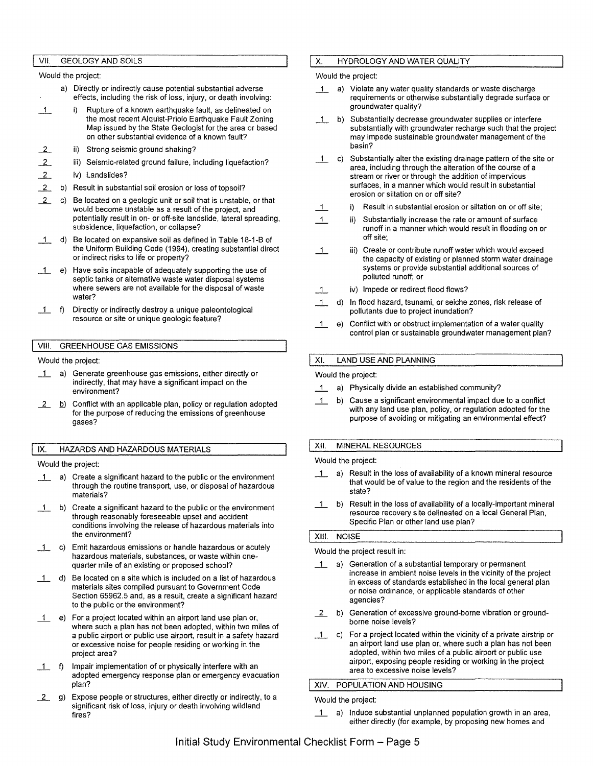#### VII. GEOLOGY AND SOILS

Would the project:

- a) Directly or indirectly cause potential substantial adverse effects, including the risk of loss, injury, or death involving:
- 1 i) Rupture of a known earthquake fault, as delineated on the most recent Alquist-Priolo Earthquake Fault Zoning Map issued by the State Geologist for the area or based on other substantial evidence of a known fault?
- $\frac{2}{2}$ ii) Strong seismic ground shaking?
- $\overline{2}$ iii) Seismic-related ground failure, including liquefaction?
- $\overline{2}$ iv) Landslides?
- $\overline{2}$ b) Result in substantial soil erosion or loss of topsoil?
- 2 c) Be located on a geologic unit or soil that is unstable, or that would become unstable as a result of the project, and potentially result in on- or off-site landslide, lateral spreading, subsidence, liquefaction, or collapse?
- $-1$ Be located on expansive soil as defined in Table 18-1-B of the Uniform Building Code (1994), creating substantial direct or indirect risks to life or property?
- \_1\_ e) Have soils incapable of adequately supporting the use of septic tanks or alternative waste water disposal systems where sewers are not available for the disposal of waste water?
- $1$  f) Directly or indirectly destroy a unique paleontological resource or site or unique geologic feature?

#### VIII. GREENHOUSE GAS EMISSIONS

Would the project:

- 1 a) Generate greenhouse gas emissions, either directly or indirectly, that may have a significant impact on the environment?
- 12 b) Conflict with an applicable plan, policy or regulation adopted for the purpose of reducing the emissions of greenhouse gases?

#### IX. HAZARDS AND HAZARDOUS MATERIALS

Would the project:

- 1 a) Create a significant hazard to the public or the environment through the routine transport, use, or disposal of hazardous materials?
- \_1\_ b) Create a significant hazard to the public or the environment through reasonably foreseeable upset and accident conditions involving the release of hazardous materials into the environment?
- \_1\_ c) Emit hazardous emissions or handle hazardous or acutely hazardous materials, substances, or waste within onequarter mile of an existing or proposed school?
- \_1\_ d) Be located on a site which is included on a list of hazardous materials sites compiled pursuant to Government Code Section 65962.5 and, as a result, create a significant hazard to the public or the environment?
- \_1\_ e) For a project located within an airport land use plan or, where such a plan has not been adopted, within two miles of a public airport or public use airport, result in a safety hazard or excessive noise for people residing or working in the project area?
- \_1\_ f) Impair implementation of or physically interfere with an adopted emergency response plan or emergency evacuation plan?
- 12 g) Expose people or structures, either directly or indirectly, to a significant risk of loss, injury or death involving wildland fires?

## X. HYDROLOGY AND WATER QUALITY

Would the project:

- 1 a) Violate any water quality standards or waste discharge requirements or otherwise substantially degrade surface or groundwater quality?
- 1 b) Substantially decrease groundwater supplies or interfere substantially with groundwater recharge such that the project may impede sustainable groundwater management of the basin?
- \_1\_ c) Substantially alter the existing drainage pattern of the site or area, including through the alteration of the course of a stream or river or through the addition of impervious surfaces, in a manner which would result in substantial erosion or siltation on or off site?
- $1$  i) Result in substantial erosion or siltation on or off site;
- $1$  iii) Substantially increase the rate or amount of surface runoff in a manner which would result in flooding on or off site;
- $\overline{1}$ iii) Create or contribute runoff water which would exceed the capacity of existing or planned storm water drainage systems or provide substantial additional sources of polluted runoff; or
- \_1\_ iv) Impede or redirect flood flows?
- \_1\_ d) In flood hazard, tsunami, or seiche zones, risk release of pollutants due to project inundation?
- \_1\_ e) Conflict with or obstruct implementation of a water quality control plan or sustainable groundwater management plan?

#### XI. LAND USE AND PLANNING

#### Would the project:

- \_1\_ a) Physically divide an established community?
- \_1\_ b) Cause a significant environmental impact due to a conflict with any land use plan, policy, or regulation adopted for the purpose of avoiding or mitigating an environmental effect?

## XII. MINERAL RESOURCES

Would the project:

- 1 a) Result in the loss of availability of a known mineral resource that would be of value to the region and the residents of the state?
- \_1\_ b) Result in the loss of availability of a locally-important mineral resource recovery site delineated on a local General Plan, Specific Plan or other land use plan?

## XIII. NOISE

Would the project result in:

- \_1\_ a) Generation of a substantial temporary or permanent increase in ambient noise levels in the vicinity of the project in excess of standards established in the local general plan or noise ordinance, or applicable standards of other agencies?
- 2 b) Generation of excessive ground-borne vibration or groundborne noise levels?
- $1$  c) For a project located within the vicinity of a private airstrip or an airport land use plan or, where such a plan has not been adopted, within two miles of a public airport or public use airport, exposing people residing or working in the project area to excessive noise levels?

## XIV. POPULATION AND HOUSING

Would the project:

\_1\_ a) Induce substantial unplanned population growth in an area, either directly (for example, by proposing new homes and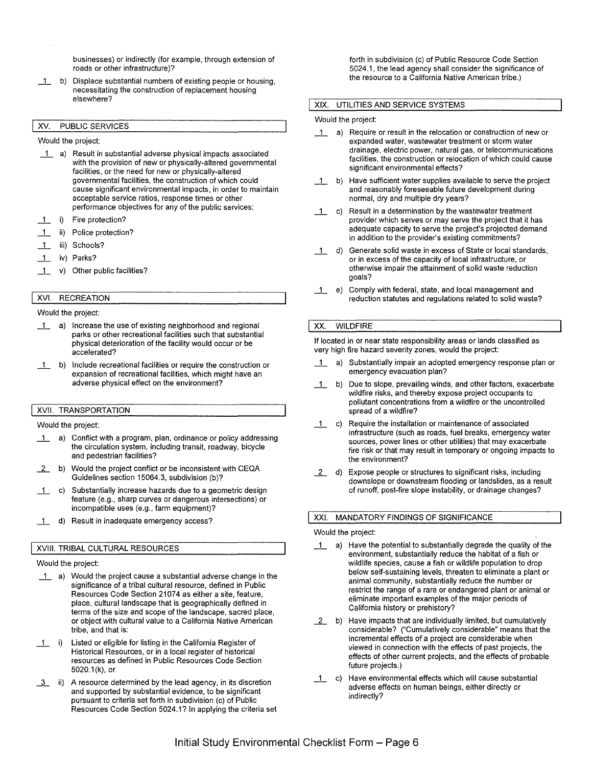businesses) or indirectly (for example, through extension of roads or other infrastructure)?

\_1\_ b) Displace substantial numbers of existing people or housing, necessitating the construction of replacement housing elsewhere?

#### XV. PUBLIC SERVICES

Would the project:

- \_1\_ a) Result in substantial adverse physical impacts associated with the provision of new or physically-altered governmental facilities, or the need for new or physically-altered governmental facilities, the construction of which could cause significant environmental impacts, in order to maintain acceptable service ratios, response times or other performance objectives for any of the public services:
- \_1\_ i) Fire protection?
- \_1\_ ii) Police protection?
- \_1\_ iii) Schools?
- \_1\_ iv) Parks?
- \_1\_ v) Other public facilities?

## XVI. RECREATION

#### Would the project:

- \_1\_ a) Increase the use of existing neighborhood and regional parks or other recreational facilities such that substantial physical deterioration of the facility would occur or be accelerated?
- \_1\_ b) Include recreational facilities or require the construction or expansion of recreational facilities, which might have an adverse physical effect on the environment?

#### XVII. TRANSPORTATION

Would the project:

- 1\_ a) Conflict with a program, plan, ordinance or policy addressing the circulation system, including transit, roadway, bicycle and pedestrian facilities?
- **2** b) Would the project conflict or be inconsistent with CEQA Guidelines section 15064.3, subdivision (b)?
- \_1\_ c) Substantially increase hazards due to a geometric design feature (e.g., sharp curves or dangerous intersections) or incompatible uses (e.g., farm equipment)?
- 1 d) Result in inadequate emergency access?

#### **XVIII.** TRIBAL CULTURAL RESOURCES

#### Would the project:

- \_1\_ a) Would the project cause a substantial adverse change in the significance of a tribal cultural resource, defined in Public Resources Code Section 21074 as either a site, feature, place, cultural landscape that is geographically defined in terms of the size and scope of the landscape, sacred place, or object with cultural value to a California Native American tribe, and that is:
- 1 i) Listed or eligible for listing in the California Register of Historical Resources, or in a local register of historical resources as defined in Public Resources Code Section 5020.1 (k), or
- 13 ii) A resource determined by the lead agency, in its discretion and supported by substantial evidence, to be significant pursuant to criteria set forth in subdivision (c) of Public Resources Code Section 5024.1? In applying the criteria set

forth in subdivision (c) of Public Resource Code Section 5024.1, the lead agency shall consider the significance of the resource to a California Native American tribe.)

#### **XIX.** UTILITIES AND SERVICE SYSTEMS

#### Would the project:

- \_1\_ a) Require or result in the relocation or construction of new or expanded water, wastewater treatment or storm water drainage, electric power, natural gas, or telecommunications facilities, the construction or relocation of which could cause significant environmental effects?
- $1$  b) Have sufficient water supplies available to serve the project and reasonably foreseeable future development during normal, dry and multiple dry years?
- \_1\_ c) Result in a determination by the wastewater treatment provider which serves or may serve the project that it has adequate capacity to serve the project's projected demand in addition to the provider's existing commitments?
- \_1\_ d) Generate solid waste in excess of State or local standards, or in excess of the capacity of local infrastructure, or otherwise impair the attainment of solid waste reduction goals?
- \_1\_ e) Comply with federal, state, and local management and reduction statutes and regulations related to solid waste?

## XX. WILDFIRE

If located in or near state responsibility areas or lands classified as very high fire hazard severity zones, would the project:

- \_1\_ a) Substantially impair an adopted emergency response plan or emergency evacuation plan?
- 1 b) Due to slope, prevailing winds, and other factors, exacerbate wildfire risks, and thereby expose project occupants to pollutant concentrations from a wildfire or the uncontrolled spread of a wildfire?
- 1 c) Require the installation or maintenance of associated infrastructure (such as roads, fuel breaks, emergency water sources, power lines or other utilities) that may exacerbate fire risk or that may result in temporary or ongoing impacts to the environment?
- *i* d) Expose people or structures to significant risks, including downslope or downstream flooding or landslides, as a result of runoff, post-fire slope instability, or drainage changes?

#### XXI. MANDATORY FINDINGS OF SIGNIFICANCE

#### Would the project:

- 1 a) Have the potential to substantially degrade the quality of the environment, substantially reduce the habitat of a fish or wildlife species, cause a fish or wildlife population to drop below self-sustaining levels, threaten to eliminate a plant or animal community, substantially reduce the number or restrict the range of a rare or endangered plant or animal or eliminate important examples of the major periods of California history or prehistory?
- *i* b) Have impacts that are individually limited, but cumulatively considerable? ("Cumulatively considerable" means that the incremental effects of a project are considerable when viewed in connection with the effects of past projects, the effects of other current projects, and the effects of probable future projects.)
- \_1\_ c) Have environmental effects which will cause substantial adverse effects on human beings, either directly or indirectly?